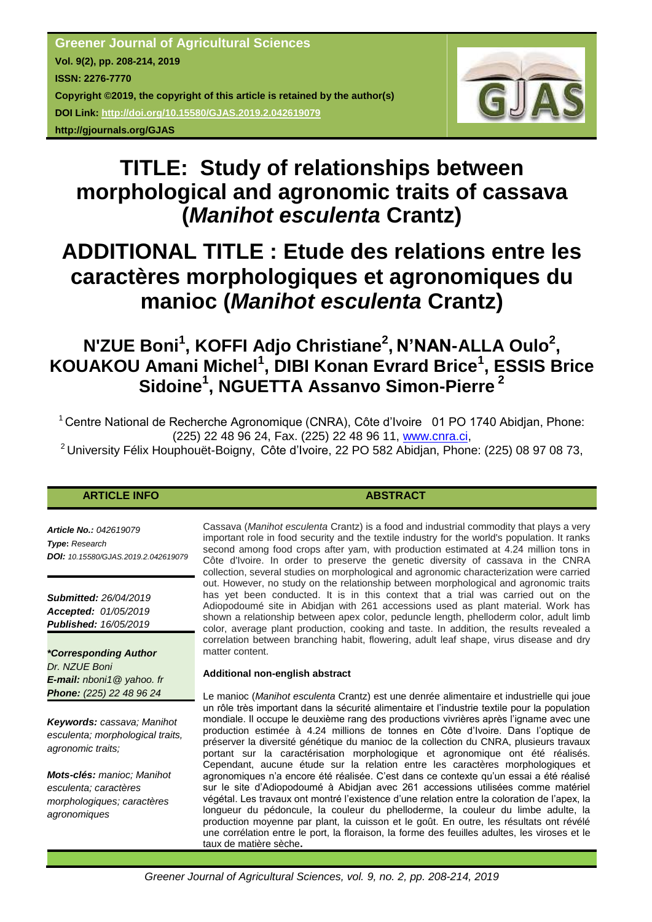

# **TITLE: Study of relationships between morphological and agronomic traits of cassava (***Manihot esculenta* **Crantz)**

# **ADDITIONAL TITLE : Etude des relations entre les caractères morphologiques et agronomiques du manioc (***Manihot esculenta* **Crantz)**

# **N'ZUE Boni<sup>1</sup> , KOFFI Adjo Christiane<sup>2</sup> , N'NAN-ALLA Oulo<sup>2</sup> , KOUAKOU Amani Michel<sup>1</sup> , DIBI Konan Evrard Brice<sup>1</sup> , ESSIS Brice Sidoine<sup>1</sup> , NGUETTA Assanvo Simon-Pierre <sup>2</sup>**

 $1$  Centre National de Recherche Agronomique (CNRA), Côte d'Ivoire 01 PO 1740 Abidjan, Phone: (225) 22 48 96 24, Fax. (225) 22 48 96 11, [www.cnra.ci,](http://www.cnra.ci/)

<sup>2</sup>University Félix Houphouët-Boigny, Côte d'Ivoire, 22 PO 582 Abidjan, Phone: (225) 08 97 08 73,

# **ARTICLE INFO ABSTRACT**

*Article No.: 042619079 Type***:** *Research DOI: 10.15580/GJAS.2019.2.042619079*

*Submitted: 26/04/2019 Accepted: 01/05/2019 Published: 16/05/2019*

*\*Corresponding Author Dr. NZUE Boni E-mail: nboni1@ yahoo. fr Phone: (225) 22 48 96 24*

*Keywords: cassava; Manihot esculenta; morphological traits, agronomic traits;* 

*Mots-clés: manioc; Manihot esculenta; caractères morphologiques; caractères agronomiques*

Cassava (*Manihot esculenta* Crantz) is a food and industrial commodity that plays a very important role in food security and the textile industry for the world's population. It ranks second among food crops after yam, with production estimated at 4.24 million tons in Côte d'Ivoire. In order to preserve the genetic diversity of cassava in the CNRA collection, several studies on morphological and agronomic characterization were carried out. However, no study on the relationship between morphological and agronomic traits has yet been conducted. It is in this context that a trial was carried out on the Adiopodoumé site in Abidjan with 261 accessions used as plant material. Work has shown a relationship between apex color, peduncle length, phelloderm color, adult limb color, average plant production, cooking and taste. In addition, the results revealed a correlation between branching habit, flowering, adult leaf shape, virus disease and dry matter content.

### **Additional non-english abstract**

Le manioc (*Manihot esculenta* Crantz) est une denrée alimentaire et industrielle qui joue un rôle très important dans la sécurité alimentaire et l'industrie textile pour la population mondiale. Il occupe le deuxième rang des productions vivrières après l'igname avec une production estimée à 4.24 millions de tonnes en Côte d'Ivoire. Dans l'optique de préserver la diversité génétique du manioc de la collection du CNRA, plusieurs travaux portant sur la caractérisation morphologique et agronomique ont été réalisés. Cependant, aucune étude sur la relation entre les caractères morphologiques et agronomiques n'a encore été réalisée. C'est dans ce contexte qu'un essai a été réalisé sur le site d'Adiopodoumé à Abidjan avec 261 accessions utilisées comme matériel végétal. Les travaux ont montré l'existence d'une relation entre la coloration de l'apex, la longueur du pédoncule, la couleur du phelloderme, la couleur du limbe adulte, la production moyenne par plant, la cuisson et le goût. En outre, les résultats ont révélé une corrélation entre le port, la floraison, la forme des feuilles adultes, les viroses et le taux de matière sèche**.**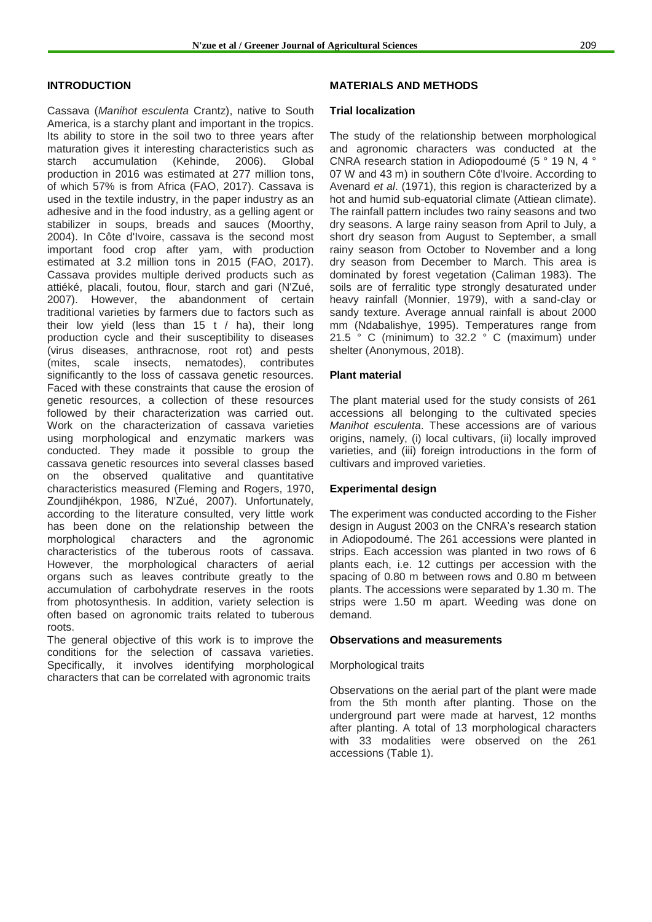#### **INTRODUCTION**

Cassava (*Manihot esculenta* Crantz), native to South America, is a starchy plant and important in the tropics. Its ability to store in the soil two to three years after maturation gives it interesting characteristics such as starch accumulation (Kehinde, 2006). Global production in 2016 was estimated at 277 million tons, of which 57% is from Africa (FAO, 2017). Cassava is used in the textile industry, in the paper industry as an adhesive and in the food industry, as a gelling agent or stabilizer in soups, breads and sauces (Moorthy, 2004). In Côte d'Ivoire, cassava is the second most important food crop after yam, with production estimated at 3.2 million tons in 2015 (FAO, 2017). Cassava provides multiple derived products such as attiéké, placali, foutou, flour, starch and gari (N'Zué, 2007). However, the abandonment of certain traditional varieties by farmers due to factors such as their low yield (less than 15 t  $/$  ha), their long production cycle and their susceptibility to diseases (virus diseases, anthracnose, root rot) and pests (mites, scale insects, nematodes), contributes significantly to the loss of cassava genetic resources. Faced with these constraints that cause the erosion of genetic resources, a collection of these resources followed by their characterization was carried out. Work on the characterization of cassava varieties using morphological and enzymatic markers was conducted. They made it possible to group the cassava genetic resources into several classes based on the observed qualitative and quantitative characteristics measured (Fleming and Rogers, 1970, Zoundjihékpon, 1986, N'Zué, 2007). Unfortunately, according to the literature consulted, very little work has been done on the relationship between the morphological characters and the agronomic characteristics of the tuberous roots of cassava. However, the morphological characters of aerial organs such as leaves contribute greatly to the accumulation of carbohydrate reserves in the roots from photosynthesis. In addition, variety selection is often based on agronomic traits related to tuberous roots.

The general objective of this work is to improve the conditions for the selection of cassava varieties. Specifically, it involves identifying morphological characters that can be correlated with agronomic traits

### **MATERIALS AND METHODS**

#### **Trial localization**

The study of the relationship between morphological and agronomic characters was conducted at the CNRA research station in Adiopodoumé (5 ° 19 N, 4 ° 07 W and 43 m) in southern Côte d'Ivoire. According to Avenard *et al*. (1971), this region is characterized by a hot and humid sub-equatorial climate (Attiean climate). The rainfall pattern includes two rainy seasons and two dry seasons. A large rainy season from April to July, a short dry season from August to September, a small rainy season from October to November and a long dry season from December to March. This area is dominated by forest vegetation (Caliman 1983). The soils are of ferralitic type strongly desaturated under heavy rainfall (Monnier, 1979), with a sand-clay or sandy texture. Average annual rainfall is about 2000 mm (Ndabalishye, 1995). Temperatures range from 21.5 ° C (minimum) to 32.2 ° C (maximum) under shelter (Anonymous, 2018).

#### **Plant material**

The plant material used for the study consists of 261 accessions all belonging to the cultivated species *Manihot esculenta*. These accessions are of various origins, namely, (i) local cultivars, (ii) locally improved varieties, and (iii) foreign introductions in the form of cultivars and improved varieties.

#### **Experimental design**

The experiment was conducted according to the Fisher design in August 2003 on the CNRA's research station in Adiopodoumé. The 261 accessions were planted in strips. Each accession was planted in two rows of 6 plants each, i.e. 12 cuttings per accession with the spacing of 0.80 m between rows and 0.80 m between plants. The accessions were separated by 1.30 m. The strips were 1.50 m apart. Weeding was done on demand.

#### **Observations and measurements**

#### Morphological traits

Observations on the aerial part of the plant were made from the 5th month after planting. Those on the underground part were made at harvest, 12 months after planting. A total of 13 morphological characters with 33 modalities were observed on the 261 accessions (Table 1).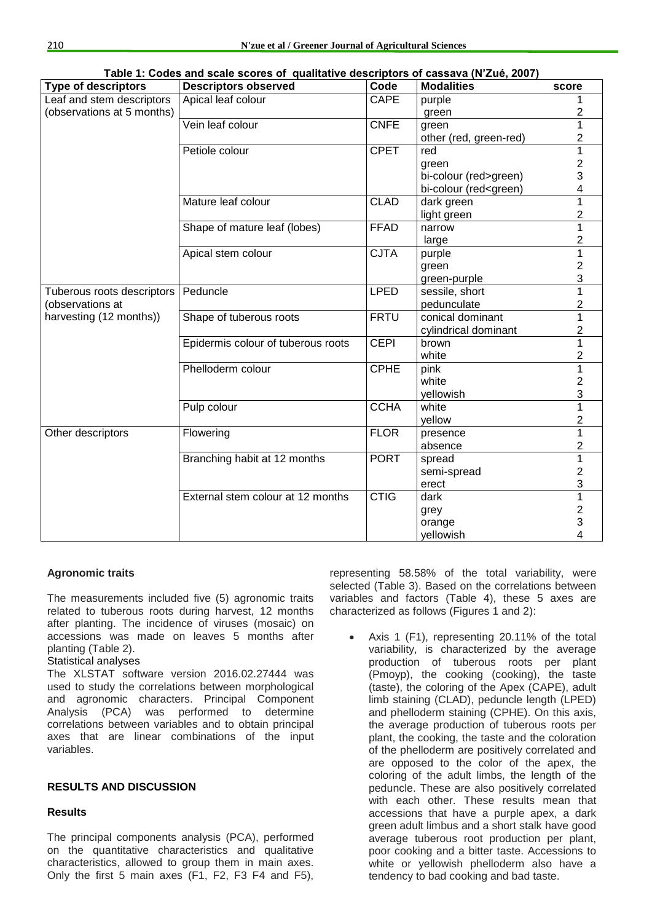| <b>Type of descriptors</b> | Table T. Godes and scale scores of quantative descriptors of cassava (N Zue, 2007)<br><b>Descriptors observed</b> | Code        | <b>Modalities</b>                                  | score                   |
|----------------------------|-------------------------------------------------------------------------------------------------------------------|-------------|----------------------------------------------------|-------------------------|
| Leaf and stem descriptors  | Apical leaf colour                                                                                                | <b>CAPE</b> | purple                                             | 1                       |
| (observations at 5 months) |                                                                                                                   |             | green                                              | $\overline{2}$          |
|                            | Vein leaf colour                                                                                                  | <b>CNFE</b> | green                                              | 1                       |
|                            |                                                                                                                   |             | other (red, green-red)                             | $\overline{2}$          |
|                            | Petiole colour                                                                                                    | <b>CPET</b> | red                                                | $\overline{1}$          |
|                            |                                                                                                                   |             | green                                              | $\overline{\mathbf{c}}$ |
|                            |                                                                                                                   |             | bi-colour (red>green)                              | 3                       |
|                            |                                                                                                                   |             | bi-colour (red <green)< td=""><td>4</td></green)<> | 4                       |
|                            | Mature leaf colour                                                                                                | <b>CLAD</b> | dark green                                         | $\overline{1}$          |
|                            |                                                                                                                   |             | light green                                        | 2                       |
|                            | Shape of mature leaf (lobes)                                                                                      | <b>FFAD</b> | narrow                                             | $\mathbf{1}$            |
|                            |                                                                                                                   |             | large                                              | 2                       |
|                            | Apical stem colour                                                                                                | <b>CJTA</b> | purple                                             | $\overline{1}$          |
|                            |                                                                                                                   |             | green                                              | $\overline{\mathbf{c}}$ |
|                            |                                                                                                                   |             | green-purple                                       | 3                       |
| Tuberous roots descriptors | Peduncle                                                                                                          | <b>LPED</b> | sessile, short                                     | $\overline{1}$          |
| (observations at           |                                                                                                                   |             | pedunculate                                        | $\overline{2}$          |
| harvesting (12 months))    | Shape of tuberous roots                                                                                           | <b>FRTU</b> | conical dominant                                   | 1                       |
|                            |                                                                                                                   |             | cylindrical dominant                               | $\overline{2}$          |
|                            | Epidermis colour of tuberous roots                                                                                | <b>CEPI</b> | brown                                              | $\overline{1}$          |
|                            |                                                                                                                   |             | white                                              | 2                       |
|                            | Phelloderm colour                                                                                                 | <b>CPHE</b> | pink                                               | 1                       |
|                            |                                                                                                                   |             | white                                              | $\overline{c}$<br>3     |
|                            |                                                                                                                   | <b>CCHA</b> | yellowish<br>white                                 | $\mathbf{1}$            |
|                            | Pulp colour                                                                                                       |             |                                                    | 2                       |
| Other descriptors          | Flowering                                                                                                         | <b>FLOR</b> | yellow                                             | $\overline{1}$          |
|                            |                                                                                                                   |             | presence<br>absence                                | $\overline{c}$          |
|                            | Branching habit at 12 months                                                                                      | <b>PORT</b> | spread                                             | 1                       |
|                            |                                                                                                                   |             | semi-spread                                        | $\overline{2}$          |
|                            |                                                                                                                   |             | erect                                              | $\mathfrak{S}$          |
|                            | External stem colour at 12 months                                                                                 | <b>CTIG</b> | dark                                               | $\overline{1}$          |
|                            |                                                                                                                   |             | grey                                               |                         |
|                            |                                                                                                                   |             | orange                                             | $\frac{2}{3}$           |
|                            |                                                                                                                   |             | yellowish                                          | 4                       |

**Table 1: Codes and scale scores of qualitative descriptors of cassava (N'Zué, 2007)**

# **Agronomic traits**

The measurements included five (5) agronomic traits related to tuberous roots during harvest, 12 months after planting. The incidence of viruses (mosaic) on accessions was made on leaves 5 months after planting (Table 2).

### Statistical analyses

The XLSTAT software version 2016.02.27444 was used to study the correlations between morphological and agronomic characters. Principal Component Analysis (PCA) was performed to determine correlations between variables and to obtain principal axes that are linear combinations of the input variables.

# **RESULTS AND DISCUSSION**

# **Results**

The principal components analysis (PCA), performed on the quantitative characteristics and qualitative characteristics, allowed to group them in main axes. Only the first 5 main axes (F1, F2, F3 F4 and F5), representing 58.58% of the total variability, were selected (Table 3). Based on the correlations between variables and factors (Table 4), these 5 axes are characterized as follows (Figures 1 and 2):

 Axis 1 (F1), representing 20.11% of the total variability, is characterized by the average production of tuberous roots per plant (Pmoyp), the cooking (cooking), the taste (taste), the coloring of the Apex (CAPE), adult limb staining (CLAD), peduncle length (LPED) and phelloderm staining (CPHE). On this axis, the average production of tuberous roots per plant, the cooking, the taste and the coloration of the phelloderm are positively correlated and are opposed to the color of the apex, the coloring of the adult limbs, the length of the peduncle. These are also positively correlated with each other. These results mean that accessions that have a purple apex, a dark green adult limbus and a short stalk have good average tuberous root production per plant, poor cooking and a bitter taste. Accessions to white or yellowish phelloderm also have a tendency to bad cooking and bad taste.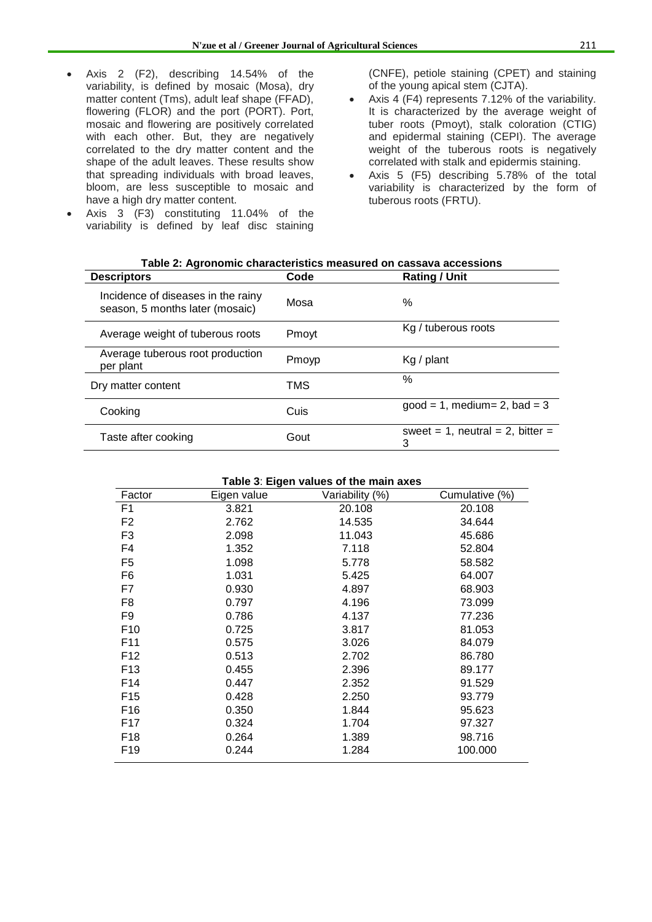- Axis 2 (F2), describing 14.54% of the variability, is defined by mosaic (Mosa), dry matter content (Tms), adult leaf shape (FFAD), flowering (FLOR) and the port (PORT). Port, mosaic and flowering are positively correlated with each other. But, they are negatively correlated to the dry matter content and the shape of the adult leaves. These results show that spreading individuals with broad leaves, bloom, are less susceptible to mosaic and have a high dry matter content.
- Axis 3 (F3) constituting 11.04% of the variability is defined by leaf disc staining

(CNFE), petiole staining (CPET) and staining of the young apical stem (CJTA).

- Axis 4 (F4) represents 7.12% of the variability. It is characterized by the average weight of tuber roots (Pmoyt), stalk coloration (CTIG) and epidermal staining (CEPI). The average weight of the tuberous roots is negatively correlated with stalk and epidermis staining.
- Axis 5 (F5) describing 5.78% of the total variability is characterized by the form of tuberous roots (FRTU).

| Table 2. Agronomic characteristics ineasured on cassava accessions    |                              |                                       |  |  |
|-----------------------------------------------------------------------|------------------------------|---------------------------------------|--|--|
| <b>Descriptors</b>                                                    | Code<br><b>Rating / Unit</b> |                                       |  |  |
| Incidence of diseases in the rainy<br>season, 5 months later (mosaic) | Mosa                         | %                                     |  |  |
| Average weight of tuberous roots                                      | Pmoyt                        | Kg / tuberous roots                   |  |  |
| Average tuberous root production<br>per plant                         | Pmoyp                        | $Kg /$ plant                          |  |  |
| Dry matter content                                                    | TMS                          | $\%$                                  |  |  |
| Cooking                                                               | Cuis                         | $good = 1$ , medium = 2, bad = 3      |  |  |
| Taste after cooking                                                   | Gout                         | sweet = 1, neutral = 2, bitter =<br>3 |  |  |

| Table 3: Eigen values of the main axes |             |                 |                |  |  |
|----------------------------------------|-------------|-----------------|----------------|--|--|
| Factor                                 | Eigen value | Variability (%) | Cumulative (%) |  |  |
| F1                                     | 3.821       | 20.108          | 20.108         |  |  |
| F <sub>2</sub>                         | 2.762       | 14.535          | 34.644         |  |  |
| F3                                     | 2.098       | 11.043          | 45.686         |  |  |
| F4                                     | 1.352       | 7.118           | 52.804         |  |  |
| F5                                     | 1.098       | 5.778           | 58.582         |  |  |
| F6                                     | 1.031       | 5.425           | 64.007         |  |  |
| F7                                     | 0.930       | 4.897           | 68.903         |  |  |
| F8                                     | 0.797       | 4.196           | 73.099         |  |  |
| F <sub>9</sub>                         | 0.786       | 4.137           | 77.236         |  |  |
| F <sub>10</sub>                        | 0.725       | 3.817           | 81.053         |  |  |
| F11                                    | 0.575       | 3.026           | 84.079         |  |  |
| F12                                    | 0.513       | 2.702           | 86.780         |  |  |
| F <sub>13</sub>                        | 0.455       | 2.396           | 89.177         |  |  |
| F14                                    | 0.447       | 2.352           | 91.529         |  |  |
| F <sub>15</sub>                        | 0.428       | 2.250           | 93.779         |  |  |
| F <sub>16</sub>                        | 0.350       | 1.844           | 95.623         |  |  |
| F17                                    | 0.324       | 1.704           | 97.327         |  |  |
| F <sub>18</sub>                        | 0.264       | 1.389           | 98.716         |  |  |
| F <sub>19</sub>                        | 0.244       | 1.284           | 100.000        |  |  |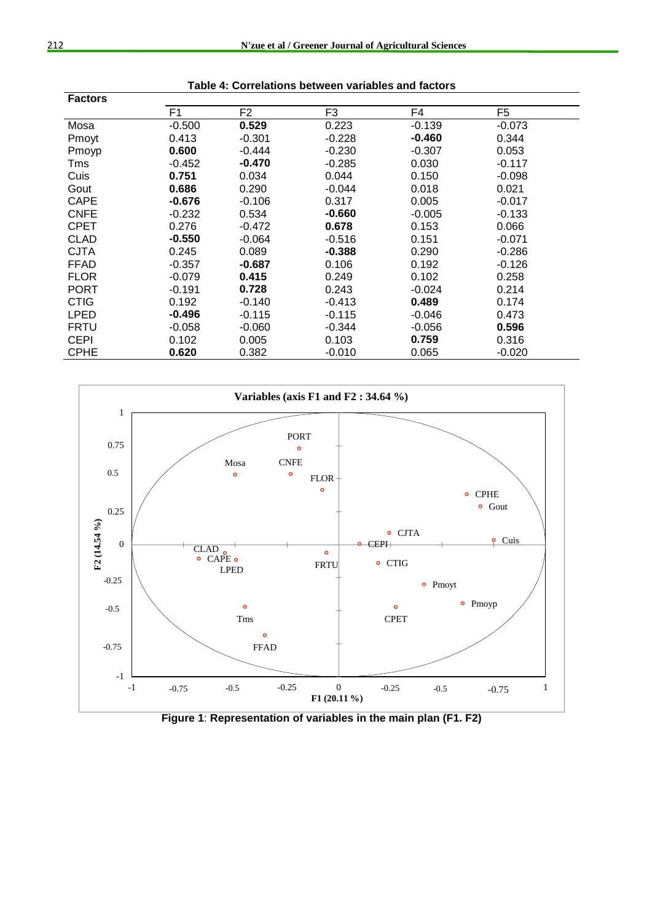| <b>Factors</b> |                |                |          |          |          |  |
|----------------|----------------|----------------|----------|----------|----------|--|
|                | F <sub>1</sub> | F <sub>2</sub> | F3       | F4       | F5       |  |
| Mosa           | $-0.500$       | 0.529          | 0.223    | $-0.139$ | $-0.073$ |  |
| Pmoyt          | 0.413          | $-0.301$       | $-0.228$ | $-0.460$ | 0.344    |  |
| Pmoyp          | 0.600          | $-0.444$       | $-0.230$ | $-0.307$ | 0.053    |  |
| Tms            | $-0.452$       | $-0.470$       | $-0.285$ | 0.030    | $-0.117$ |  |
| Cuis           | 0.751          | 0.034          | 0.044    | 0.150    | $-0.098$ |  |
| Gout           | 0.686          | 0.290          | $-0.044$ | 0.018    | 0.021    |  |
| CAPE           | $-0.676$       | $-0.106$       | 0.317    | 0.005    | $-0.017$ |  |
| <b>CNFE</b>    | $-0.232$       | 0.534          | $-0.660$ | $-0.005$ | $-0.133$ |  |
| <b>CPET</b>    | 0.276          | $-0.472$       | 0.678    | 0.153    | 0.066    |  |
| <b>CLAD</b>    | $-0.550$       | $-0.064$       | $-0.516$ | 0.151    | $-0.071$ |  |
| CJTA           | 0.245          | 0.089          | $-0.388$ | 0.290    | $-0.286$ |  |
| <b>FFAD</b>    | $-0.357$       | $-0.687$       | 0.106    | 0.192    | $-0.126$ |  |
| <b>FLOR</b>    | $-0.079$       | 0.415          | 0.249    | 0.102    | 0.258    |  |
| PORT           | $-0.191$       | 0.728          | 0.243    | $-0.024$ | 0.214    |  |
| <b>CTIG</b>    | 0.192          | $-0.140$       | $-0.413$ | 0.489    | 0.174    |  |
| <b>LPED</b>    | $-0.496$       | $-0.115$       | $-0.115$ | $-0.046$ | 0.473    |  |
| <b>FRTU</b>    | $-0.058$       | $-0.060$       | $-0.344$ | $-0.056$ | 0.596    |  |
| <b>CEPI</b>    | 0.102          | 0.005          | 0.103    | 0.759    | 0.316    |  |
| <b>CPHE</b>    | 0.620          | 0.382          | $-0.010$ | 0.065    | $-0.020$ |  |





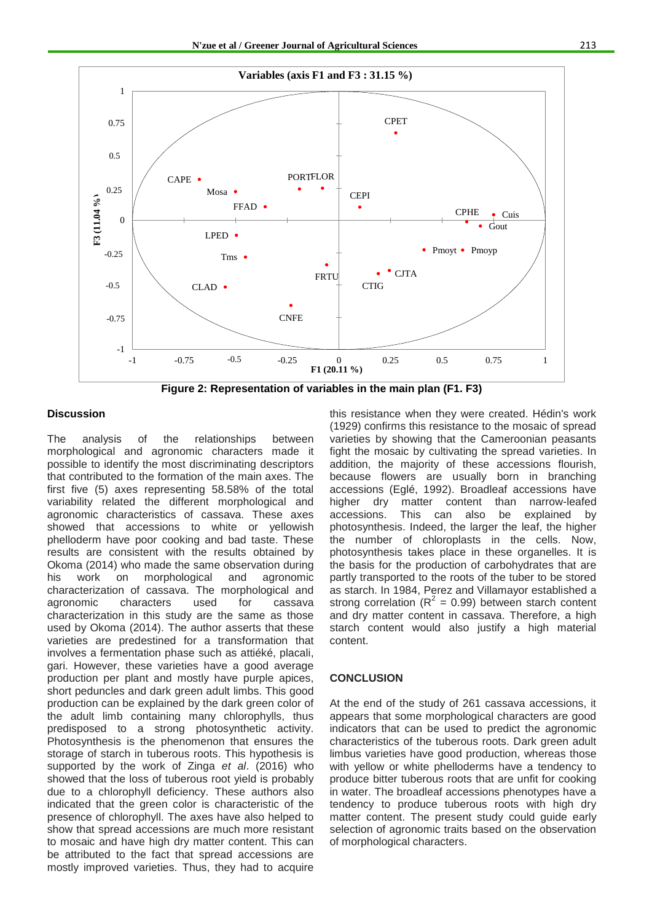

**Figure 2: Representation of variables in the main plan (F1. F3)**

#### **Discussion**

The analysis of the relationships between morphological and agronomic characters made it possible to identify the most discriminating descriptors that contributed to the formation of the main axes. The first five (5) axes representing 58.58% of the total variability related the different morphological and agronomic characteristics of cassava. These axes showed that accessions to white or yellowish phelloderm have poor cooking and bad taste. These results are consistent with the results obtained by Okoma (2014) who made the same observation during his work on morphological and agronomic characterization of cassava. The morphological and agronomic characters used for cassava characterization in this study are the same as those used by Okoma (2014). The author asserts that these varieties are predestined for a transformation that involves a fermentation phase such as attiéké, placali, gari. However, these varieties have a good average production per plant and mostly have purple apices, short peduncles and dark green adult limbs. This good production can be explained by the dark green color of the adult limb containing many chlorophylls, thus predisposed to a strong photosynthetic activity. Photosynthesis is the phenomenon that ensures the storage of starch in tuberous roots. This hypothesis is supported by the work of Zinga *et al*. (2016) who showed that the loss of tuberous root yield is probably due to a chlorophyll deficiency. These authors also indicated that the green color is characteristic of the presence of chlorophyll. The axes have also helped to show that spread accessions are much more resistant to mosaic and have high dry matter content. This can be attributed to the fact that spread accessions are mostly improved varieties. Thus, they had to acquire this resistance when they were created. Hédin's work (1929) confirms this resistance to the mosaic of spread varieties by showing that the Cameroonian peasants fight the mosaic by cultivating the spread varieties. In addition, the majority of these accessions flourish, because flowers are usually born in branching accessions (Eglé, 1992). Broadleaf accessions have higher dry matter content than narrow-leafed accessions. This can also be explained by photosynthesis. Indeed, the larger the leaf, the higher the number of chloroplasts in the cells. Now, photosynthesis takes place in these organelles. It is the basis for the production of carbohydrates that are partly transported to the roots of the tuber to be stored as starch. In 1984, Perez and Villamayor established a strong correlation  $(R^2 = 0.99)$  between starch content and dry matter content in cassava. Therefore, a high starch content would also justify a high material content.

#### **CONCLUSION**

At the end of the study of 261 cassava accessions, it appears that some morphological characters are good indicators that can be used to predict the agronomic characteristics of the tuberous roots. Dark green adult limbus varieties have good production, whereas those with yellow or white phelloderms have a tendency to produce bitter tuberous roots that are unfit for cooking in water. The broadleaf accessions phenotypes have a tendency to produce tuberous roots with high dry matter content. The present study could guide early selection of agronomic traits based on the observation of morphological characters.